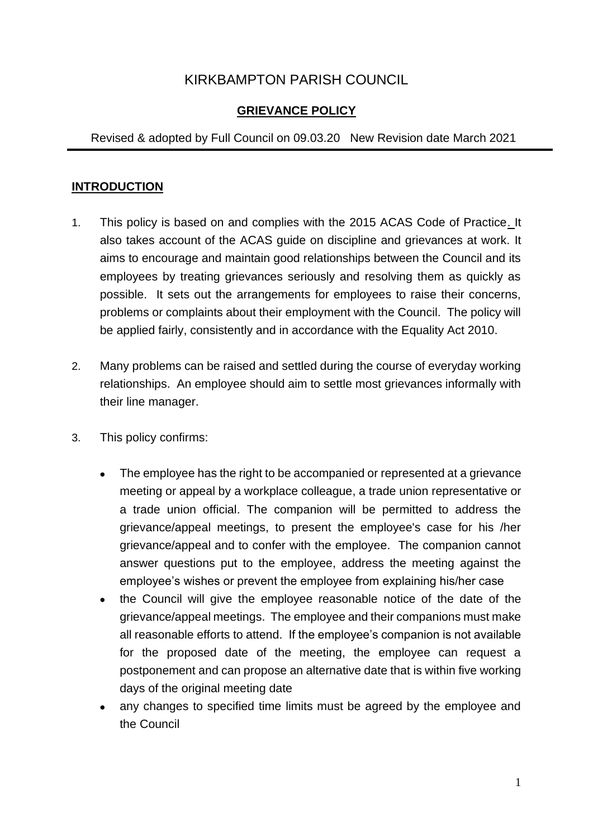# KIRKBAMPTON PARISH COUNCIL

# **GRIEVANCE POLICY**

#### Revised & adopted by Full Council on 09.03.20 New Revision date March 2021

#### **INTRODUCTION**

- 1. This policy is based on and complies with the 2015 ACAS Code of Practice. It also takes account of the ACAS guide on discipline and grievances at work. It aims to encourage and maintain good relationships between the Council and its employees by treating grievances seriously and resolving them as quickly as possible. It sets out the arrangements for employees to raise their concerns, problems or complaints about their employment with the Council. The policy will be applied fairly, consistently and in accordance with the Equality Act 2010.
- 2. Many problems can be raised and settled during the course of everyday working relationships. An employee should aim to settle most grievances informally with their line manager.
- 3. This policy confirms:
	- The employee has the right to be accompanied or represented at a grievance meeting or appeal by a workplace colleague, a trade union representative or a trade union official. The companion will be permitted to address the grievance/appeal meetings, to present the employee's case for his /her grievance/appeal and to confer with the employee. The companion cannot answer questions put to the employee, address the meeting against the employee's wishes or prevent the employee from explaining his/her case
	- the Council will give the employee reasonable notice of the date of the grievance/appeal meetings. The employee and their companions must make all reasonable efforts to attend. If the employee's companion is not available for the proposed date of the meeting, the employee can request a postponement and can propose an alternative date that is within five working days of the original meeting date
	- any changes to specified time limits must be agreed by the employee and the Council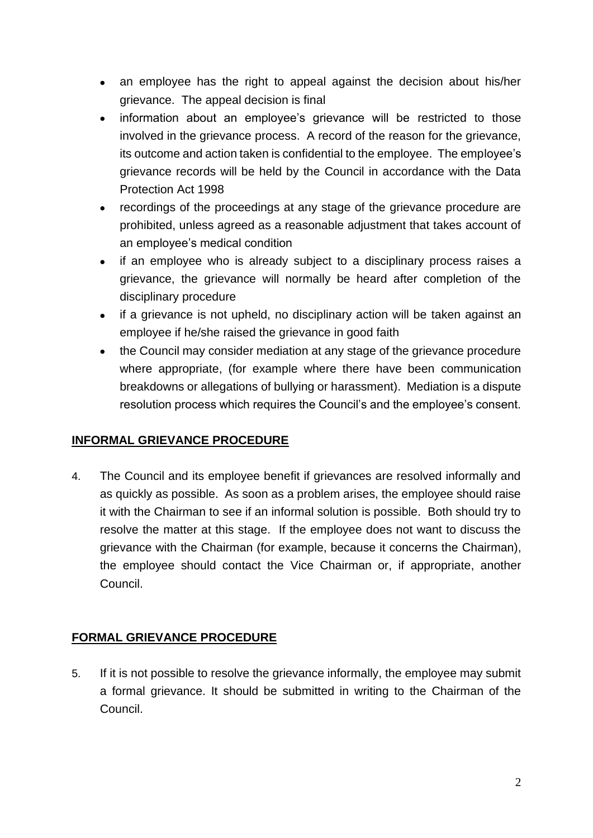- an employee has the right to appeal against the decision about his/her grievance. The appeal decision is final
- information about an employee's grievance will be restricted to those involved in the grievance process. A record of the reason for the grievance, its outcome and action taken is confidential to the employee. The employee's grievance records will be held by the Council in accordance with the Data Protection Act 1998
- recordings of the proceedings at any stage of the grievance procedure are prohibited, unless agreed as a reasonable adjustment that takes account of an employee's medical condition
- if an employee who is already subject to a disciplinary process raises a grievance, the grievance will normally be heard after completion of the disciplinary procedure
- if a grievance is not upheld, no disciplinary action will be taken against an employee if he/she raised the grievance in good faith
- the Council may consider mediation at any stage of the grievance procedure where appropriate, (for example where there have been communication breakdowns or allegations of bullying or harassment). Mediation is a dispute resolution process which requires the Council's and the employee's consent.

# **INFORMAL GRIEVANCE PROCEDURE**

4. The Council and its employee benefit if grievances are resolved informally and as quickly as possible. As soon as a problem arises, the employee should raise it with the Chairman to see if an informal solution is possible. Both should try to resolve the matter at this stage. If the employee does not want to discuss the grievance with the Chairman (for example, because it concerns the Chairman), the employee should contact the Vice Chairman or, if appropriate, another Council.

# **FORMAL GRIEVANCE PROCEDURE**

5. If it is not possible to resolve the grievance informally, the employee may submit a formal grievance. It should be submitted in writing to the Chairman of the Council.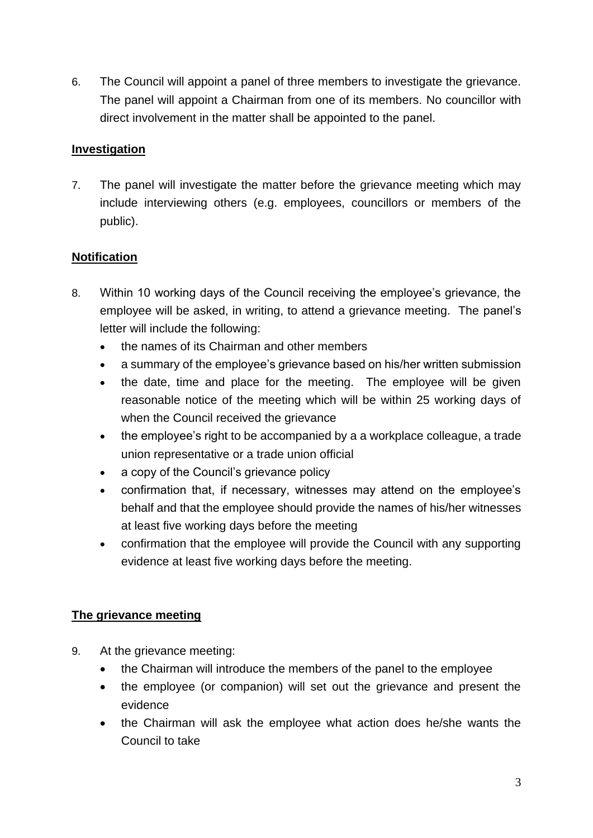6. The Council will appoint a panel of three members to investigate the grievance. The panel will appoint a Chairman from one of its members. No councillor with direct involvement in the matter shall be appointed to the panel.

#### **Investigation**

7. The panel will investigate the matter before the grievance meeting which may include interviewing others (e.g. employees, councillors or members of the public).

#### **Notification**

- 8. Within 10 working days of the Council receiving the employee's grievance, the employee will be asked, in writing, to attend a grievance meeting. The panel's letter will include the following:
	- the names of its Chairman and other members
	- a summary of the employee's grievance based on his/her written submission
	- the date, time and place for the meeting. The employee will be given reasonable notice of the meeting which will be within 25 working days of when the Council received the grievance
	- the employee's right to be accompanied by a a workplace colleague, a trade union representative or a trade union official
	- a copy of the Council's grievance policy
	- confirmation that, if necessary, witnesses may attend on the employee's behalf and that the employee should provide the names of his/her witnesses at least five working days before the meeting
	- confirmation that the employee will provide the Council with any supporting evidence at least five working days before the meeting.

# **The grievance meeting**

- 9. At the grievance meeting:
	- the Chairman will introduce the members of the panel to the employee
	- the employee (or companion) will set out the grievance and present the evidence
	- the Chairman will ask the employee what action does he/she wants the Council to take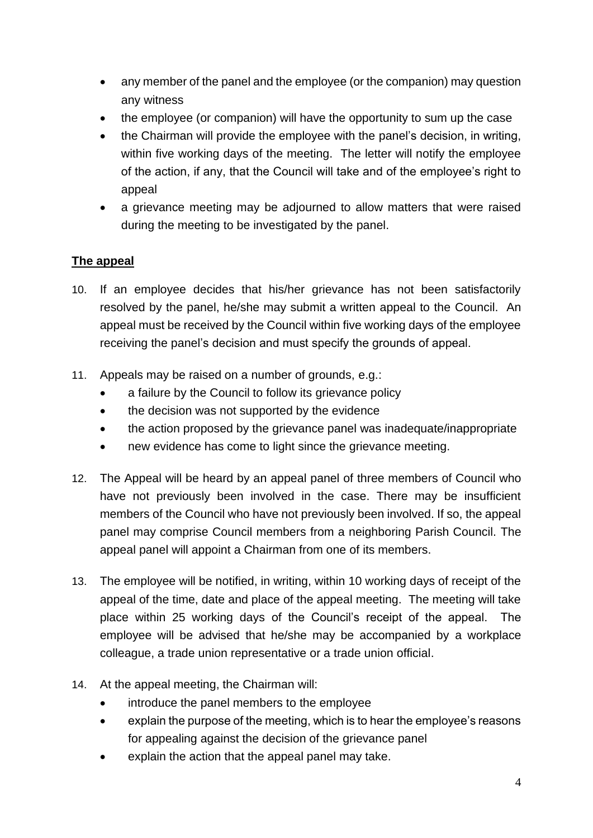- any member of the panel and the employee (or the companion) may question any witness
- the employee (or companion) will have the opportunity to sum up the case
- the Chairman will provide the employee with the panel's decision, in writing, within five working days of the meeting. The letter will notify the employee of the action, if any, that the Council will take and of the employee's right to appeal
- a grievance meeting may be adjourned to allow matters that were raised during the meeting to be investigated by the panel.

# **The appeal**

- 10. If an employee decides that his/her grievance has not been satisfactorily resolved by the panel, he/she may submit a written appeal to the Council. An appeal must be received by the Council within five working days of the employee receiving the panel's decision and must specify the grounds of appeal.
- 11. Appeals may be raised on a number of grounds, e.g.:
	- a failure by the Council to follow its grievance policy
	- the decision was not supported by the evidence
	- the action proposed by the grievance panel was inadequate/inappropriate
	- new evidence has come to light since the grievance meeting.
- 12. The Appeal will be heard by an appeal panel of three members of Council who have not previously been involved in the case. There may be insufficient members of the Council who have not previously been involved. If so, the appeal panel may comprise Council members from a neighboring Parish Council. The appeal panel will appoint a Chairman from one of its members.
- 13. The employee will be notified, in writing, within 10 working days of receipt of the appeal of the time, date and place of the appeal meeting. The meeting will take place within 25 working days of the Council's receipt of the appeal. The employee will be advised that he/she may be accompanied by a workplace colleague, a trade union representative or a trade union official.
- 14. At the appeal meeting, the Chairman will:
	- introduce the panel members to the employee
	- explain the purpose of the meeting, which is to hear the employee's reasons for appealing against the decision of the grievance panel
	- explain the action that the appeal panel may take.